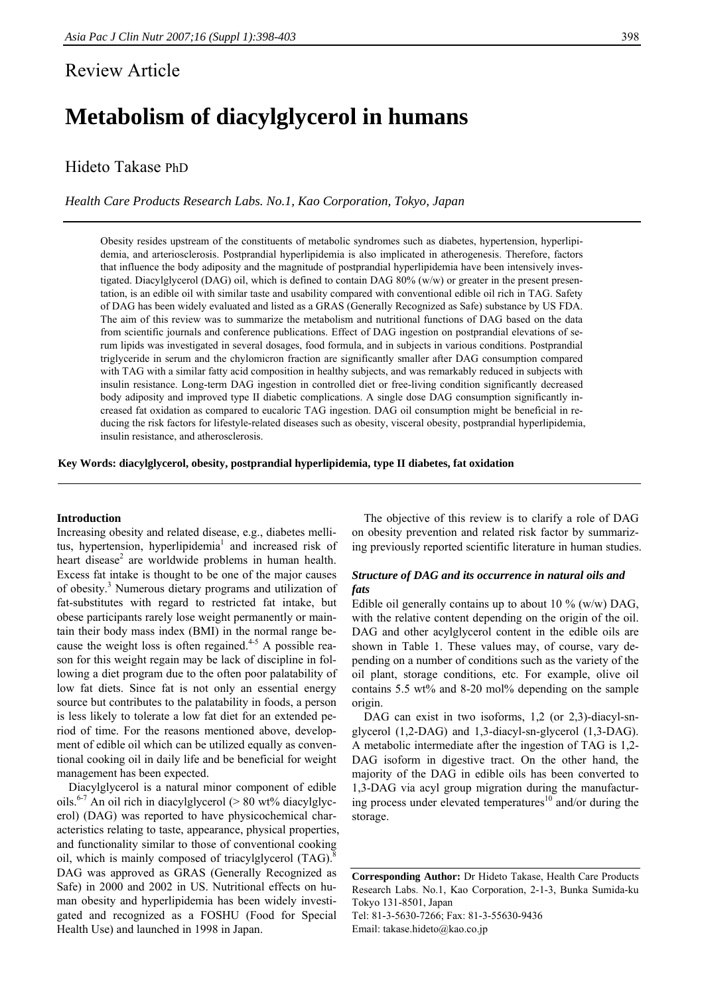# Review Article

# **Metabolism of diacylglycerol in humans**

# Hideto Takase PhD

*Health Care Products Research Labs. No.1, Kao Corporation, Tokyo, Japan* 

Obesity resides upstream of the constituents of metabolic syndromes such as diabetes, hypertension, hyperlipidemia, and arteriosclerosis. Postprandial hyperlipidemia is also implicated in atherogenesis. Therefore, factors that influence the body adiposity and the magnitude of postprandial hyperlipidemia have been intensively investigated. Diacylglycerol (DAG) oil, which is defined to contain DAG 80% (w/w) or greater in the present presentation, is an edible oil with similar taste and usability compared with conventional edible oil rich in TAG. Safety of DAG has been widely evaluated and listed as a GRAS (Generally Recognized as Safe) substance by US FDA. The aim of this review was to summarize the metabolism and nutritional functions of DAG based on the data from scientific journals and conference publications. Effect of DAG ingestion on postprandial elevations of serum lipids was investigated in several dosages, food formula, and in subjects in various conditions. Postprandial triglyceride in serum and the chylomicron fraction are significantly smaller after DAG consumption compared with TAG with a similar fatty acid composition in healthy subjects, and was remarkably reduced in subjects with insulin resistance. Long-term DAG ingestion in controlled diet or free-living condition significantly decreased body adiposity and improved type II diabetic complications. A single dose DAG consumption significantly increased fat oxidation as compared to eucaloric TAG ingestion. DAG oil consumption might be beneficial in reducing the risk factors for lifestyle-related diseases such as obesity, visceral obesity, postprandial hyperlipidemia, insulin resistance, and atherosclerosis.

**Key Words: diacylglycerol, obesity, postprandial hyperlipidemia, type II diabetes, fat oxidation** 

#### **Introduction**

Increasing obesity and related disease, e.g., diabetes mellitus, hypertension, hyperlipidemia<sup>1</sup> and increased risk of heart disease<sup>2</sup> are worldwide problems in human health. Excess fat intake is thought to be one of the major causes of obesity.<sup>3</sup> Numerous dietary programs and utilization of fat-substitutes with regard to restricted fat intake, but obese participants rarely lose weight permanently or maintain their body mass index (BMI) in the normal range because the weight loss is often regained.<sup>4-5</sup> A possible reason for this weight regain may be lack of discipline in following a diet program due to the often poor palatability of low fat diets. Since fat is not only an essential energy source but contributes to the palatability in foods, a person is less likely to tolerate a low fat diet for an extended period of time. For the reasons mentioned above, development of edible oil which can be utilized equally as conventional cooking oil in daily life and be beneficial for weight management has been expected.

 Diacylglycerol is a natural minor component of edible oils.<sup>6-7</sup> An oil rich in diacylglycerol ( $> 80$  wt% diacylglycerol) (DAG) was reported to have physicochemical characteristics relating to taste, appearance, physical properties, and functionality similar to those of conventional cooking oil, which is mainly composed of triacylglycerol (TAG).<sup>8</sup> DAG was approved as GRAS (Generally Recognized as Safe) in 2000 and 2002 in US. Nutritional effects on human obesity and hyperlipidemia has been widely investigated and recognized as a FOSHU (Food for Special Health Use) and launched in 1998 in Japan.

 The objective of this review is to clarify a role of DAG on obesity prevention and related risk factor by summarizing previously reported scientific literature in human studies.

## *Structure of DAG and its occurrence in natural oils and fats*

Edible oil generally contains up to about 10  $\%$  (w/w) DAG, with the relative content depending on the origin of the oil. DAG and other acylglycerol content in the edible oils are shown in Table 1. These values may, of course, vary depending on a number of conditions such as the variety of the oil plant, storage conditions, etc. For example, olive oil contains 5.5 wt% and 8-20 mol% depending on the sample origin.

DAG can exist in two isoforms, 1,2 (or 2,3)-diacyl-snglycerol (1,2-DAG) and 1,3-diacyl-sn-glycerol (1,3-DAG). A metabolic intermediate after the ingestion of TAG is 1,2- DAG isoform in digestive tract. On the other hand, the majority of the DAG in edible oils has been converted to 1,3-DAG via acyl group migration during the manufacturing process under elevated temperatures<sup>10</sup> and/or during the storage.

**Corresponding Author:** Dr Hideto Takase, Health Care Products Research Labs. No.1, Kao Corporation, 2-1-3, Bunka Sumida-ku Tokyo 131-8501, Japan

Tel: 81-3-5630-7266; Fax: 81-3-55630-9436 Email: takase.hideto@kao.co.jp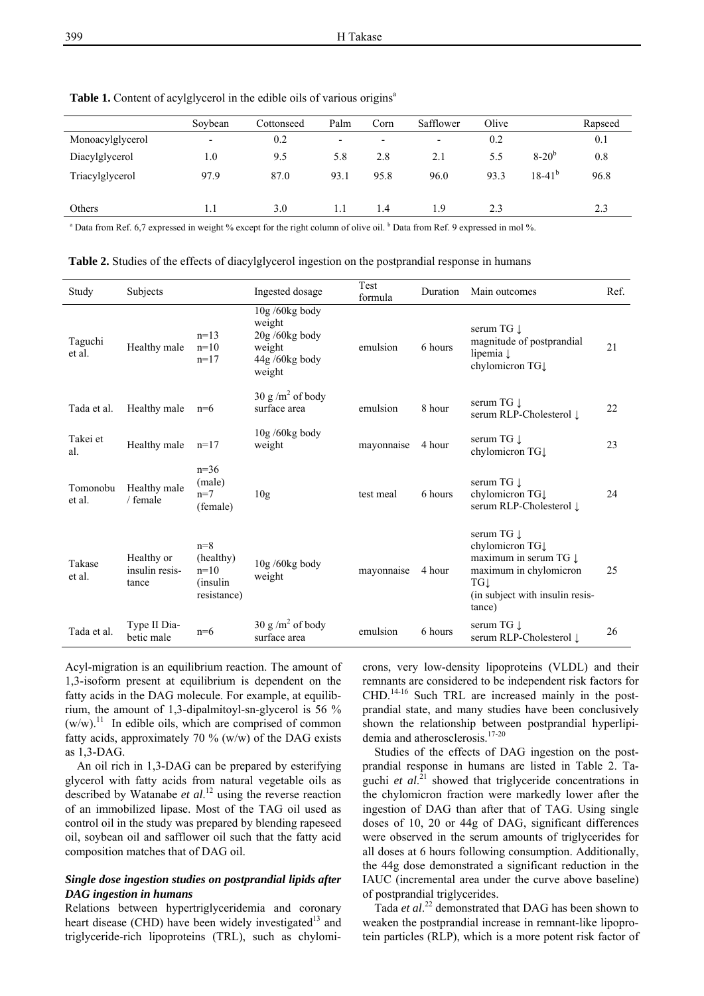|                  | Soybean                  | Cottonseed | Palm                     | Corn                     | Safflower                | Olive |              | Rapseed |
|------------------|--------------------------|------------|--------------------------|--------------------------|--------------------------|-------|--------------|---------|
| Monoacylglycerol | $\overline{\phantom{0}}$ | 0.2        | $\overline{\phantom{a}}$ | $\overline{\phantom{0}}$ | $\overline{\phantom{a}}$ | 0.2   |              | 0.1     |
| Diacylglycerol   | 1.0                      | 9.5        | 5.8                      | 2.8                      | 2.1                      | 5.5   | $8 - 20^{b}$ | 0.8     |
| Triacylglycerol  | 97.9                     | 87.0       | 93.1                     | 95.8                     | 96.0                     | 93.3  | $18-41^{b}$  | 96.8    |
| Others           | 1.1                      | 3.0        | 1.1                      | 1.4                      | 1.9                      | 2.3   |              | 2.3     |
|                  |                          |            |                          |                          |                          |       |              |         |

**Table 1.** Content of acylglycerol in the edible oils of various origins<sup>a</sup>

<sup>a</sup> Data from Ref. 6,7 expressed in weight % except for the right column of olive oil. <sup>b</sup> Data from Ref. 9 expressed in mol %.

**Table 2.** Studies of the effects of diacylglycerol ingestion on the postprandial response in humans

| Study              | Subjects                              |                                                         | Ingested dosage                                                                    | Test<br>formula | Duration | Main outcomes                                                                                                                                              | Ref. |
|--------------------|---------------------------------------|---------------------------------------------------------|------------------------------------------------------------------------------------|-----------------|----------|------------------------------------------------------------------------------------------------------------------------------------------------------------|------|
| Taguchi<br>et al.  | Healthy male                          | $n=13$<br>$n=10$<br>$n=17$                              | $10g/60kg$ body<br>weight<br>20g /60kg body<br>weight<br>$44g/60kg$ body<br>weight | emulsion        | 6 hours  | serum TG $\downarrow$<br>magnitude of postprandial<br>lipemia $\downarrow$<br>chylomicron TG <sub>↓</sub>                                                  | 21   |
| Tada et al.        | Healthy male                          | $n=6$                                                   | $30 \text{ g/m}^2$ of body<br>surface area                                         | emulsion        | 8 hour   | serum TG $\downarrow$<br>serum RLP-Cholesterol ↓                                                                                                           | 22   |
| Takei et<br>al.    | Healthy male                          | $n=17$                                                  | $10g/60kg$ body<br>weight                                                          | mayonnaise      | 4 hour   | serum TG $\downarrow$<br>chylomicron TG <sub>↓</sub>                                                                                                       | 23   |
| Tomonobu<br>et al. | Healthy male<br>/ female              | $n=36$<br>(male)<br>$n=7$<br>(female)                   | 10 <sub>g</sub>                                                                    | test meal       | 6 hours  | serum TG $\downarrow$<br>chylomicron TGĮ<br>serum RLP-Cholesterol ↓                                                                                        | 24   |
| Takase<br>et al.   | Healthy or<br>insulin resis-<br>tance | $n=8$<br>(healthy)<br>$n=10$<br>(insulin<br>resistance) | $10g/60kg$ body<br>weight                                                          | mayonnaise      | 4 hour   | serum TG $\downarrow$<br>chylomicron TGĮ<br>maximum in serum TG $\downarrow$<br>maximum in chylomicron<br>TGI<br>(in subject with insulin resis-<br>tance) | 25   |
| Tada et al.        | Type II Dia-<br>betic male            | $n=6$                                                   | $30 \text{ g/m}^2$ of body<br>surface area                                         | emulsion        | 6 hours  | serum TG $\downarrow$<br>serum RLP-Cholesterol L                                                                                                           | 26   |

Acyl-migration is an equilibrium reaction. The amount of 1,3-isoform present at equilibrium is dependent on the fatty acids in the DAG molecule. For example, at equilibrium, the amount of 1,3-dipalmitoyl-sn-glycerol is 56 %  $(w/w)$ <sup>11</sup> In edible oils, which are comprised of common fatty acids, approximately 70 %  $(w/w)$  of the DAG exists as 1,3-DAG.

 An oil rich in 1,3-DAG can be prepared by esterifying glycerol with fatty acids from natural vegetable oils as described by Watanabe *et al*. 12 using the reverse reaction of an immobilized lipase. Most of the TAG oil used as control oil in the study was prepared by blending rapeseed oil, soybean oil and safflower oil such that the fatty acid composition matches that of DAG oil.

### *Single dose ingestion studies on postprandial lipids after DAG ingestion in humans*

Relations between hypertriglyceridemia and coronary heart disease (CHD) have been widely investigated $13$  and triglyceride-rich lipoproteins (TRL), such as chylomicrons, very low-density lipoproteins (VLDL) and their remnants are considered to be independent risk factors for CHD.14-16 Such TRL are increased mainly in the postprandial state, and many studies have been conclusively shown the relationship between postprandial hyperlipidemia and atherosclerosis.<sup>17-20</sup>

 Studies of the effects of DAG ingestion on the postprandial response in humans are listed in Table 2. Taguchi *et al.*<sup> $21$ </sup> showed that triglyceride concentrations in the chylomicron fraction were markedly lower after the ingestion of DAG than after that of TAG. Using single doses of 10, 20 or 44g of DAG, significant differences were observed in the serum amounts of triglycerides for all doses at 6 hours following consumption. Additionally, the 44g dose demonstrated a significant reduction in the IAUC (incremental area under the curve above baseline) of postprandial triglycerides.

 Tada *et al*. 22 demonstrated that DAG has been shown to weaken the postprandial increase in remnant-like lipoprotein particles (RLP), which is a more potent risk factor of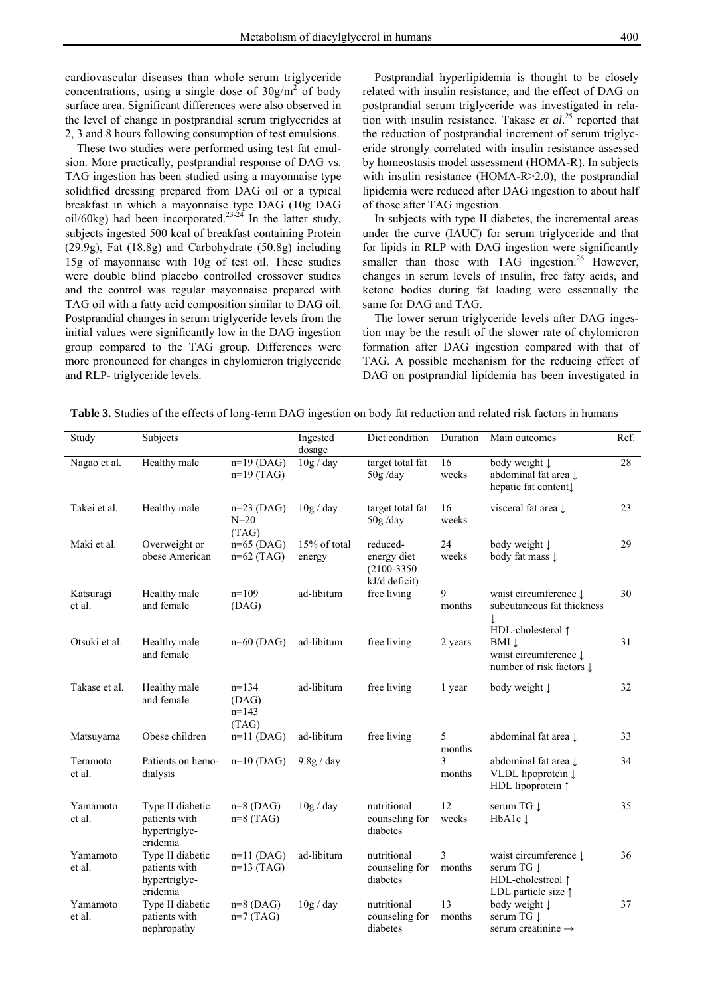cardiovascular diseases than whole serum triglyceride concentrations, using a single dose of  $30g/m^2$  of body surface area. Significant differences were also observed in the level of change in postprandial serum triglycerides at 2, 3 and 8 hours following consumption of test emulsions.

 These two studies were performed using test fat emulsion. More practically, postprandial response of DAG vs. TAG ingestion has been studied using a mayonnaise type solidified dressing prepared from DAG oil or a typical breakfast in which a mayonnaise type DAG (10g DAG oil/60kg) had been incorporated.<sup>23-24</sup> In the latter study, subjects ingested 500 kcal of breakfast containing Protein (29.9g), Fat (18.8g) and Carbohydrate (50.8g) including 15g of mayonnaise with 10g of test oil. These studies were double blind placebo controlled crossover studies and the control was regular mayonnaise prepared with TAG oil with a fatty acid composition similar to DAG oil. Postprandial changes in serum triglyceride levels from the initial values were significantly low in the DAG ingestion group compared to the TAG group. Differences were more pronounced for changes in chylomicron triglyceride and RLP- triglyceride levels.

 Postprandial hyperlipidemia is thought to be closely related with insulin resistance, and the effect of DAG on postprandial serum triglyceride was investigated in relation with insulin resistance. Takase *et al*. 25 reported that the reduction of postprandial increment of serum triglyceride strongly correlated with insulin resistance assessed by homeostasis model assessment (HOMA-R). In subjects with insulin resistance (HOMA-R>2.0), the postprandial lipidemia were reduced after DAG ingestion to about half of those after TAG ingestion.

 In subjects with type II diabetes, the incremental areas under the curve (IAUC) for serum triglyceride and that for lipids in RLP with DAG ingestion were significantly smaller than those with TAG ingestion.<sup>26</sup> However, changes in serum levels of insulin, free fatty acids, and ketone bodies during fat loading were essentially the same for DAG and TAG.

 The lower serum triglyceride levels after DAG ingestion may be the result of the slower rate of chylomicron formation after DAG ingestion compared with that of TAG. A possible mechanism for the reducing effect of DAG on postprandial lipidemia has been investigated in

| Table 3. Studies of the effects of long-term DAG ingestion on body fat reduction and related risk factors in humans |  |  |
|---------------------------------------------------------------------------------------------------------------------|--|--|
|                                                                                                                     |  |  |

| Study               | Subjects                                                       |                                      | Ingested<br>dosage     | Diet condition                                              | Duration     | Main outcomes                                                                                         | Ref. |
|---------------------|----------------------------------------------------------------|--------------------------------------|------------------------|-------------------------------------------------------------|--------------|-------------------------------------------------------------------------------------------------------|------|
| Nagao et al.        | Healthy male                                                   | $n=19$ (DAG)<br>$n=19$ (TAG)         | 10g / day              | target total fat<br>$50g$ /day                              | 16<br>weeks  | body weight $\downarrow$<br>abdominal fat area $\downarrow$<br>hepatic fat content                    | 28   |
| Takei et al.        | Healthy male                                                   | $n=23$ (DAG)<br>$N=20$<br>(TAG)      | 10g / day              | target total fat<br>$50g$ /day                              | 16<br>weeks  | visceral fat area $\downarrow$                                                                        | 23   |
| Maki et al.         | Overweight or<br>obese American                                | $n=65$ (DAG)<br>$n=62$ (TAG)         | 15% of total<br>energy | reduced-<br>energy diet<br>$(2100-3350)$<br>$kJ/d$ deficit) | 24<br>weeks  | body weight $\downarrow$<br>body fat mass $\downarrow$                                                | 29   |
| Katsuragi<br>et al. | Healthy male<br>and female                                     | $n=109$<br>(DAG)                     | ad-libitum             | free living                                                 | 9<br>months  | waist circumference $\downarrow$<br>subcutaneous fat thickness                                        | 30   |
| Otsuki et al.       | Healthy male<br>and female                                     | $n=60$ (DAG)                         | ad-libitum             | free living                                                 | 2 years      | HDL-cholesterol ↑<br>BMI J<br>waist circumference $\downarrow$<br>number of risk factors $\downarrow$ | 31   |
| Takase et al.       | Healthy male<br>and female                                     | $n=134$<br>(DAG)<br>$n=143$<br>(TAG) | ad-libitum             | free living                                                 | 1 year       | body weight $\downarrow$                                                                              | 32   |
| Matsuyama           | Obese children                                                 | $n=11$ (DAG)                         | ad-libitum             | free living                                                 | 5<br>months  | abdominal fat area ↓                                                                                  | 33   |
| Teramoto<br>et al.  | Patients on hemo-<br>dialysis                                  | $n=10$ (DAG)                         | 9.8g / day             |                                                             | 3<br>months  | abdominal fat area $\downarrow$<br>VLDL lipoprotein $\downarrow$<br>HDL lipoprotein 1                 | 34   |
| Yamamoto<br>et al.  | Type II diabetic<br>patients with<br>hypertriglyc-<br>eridemia | $n=8$ (DAG)<br>$n=8$ (TAG)           | 10g / day              | nutritional<br>counseling for<br>diabetes                   | 12<br>weeks  | serum TG ↓<br>HbA1c ↓                                                                                 | 35   |
| Yamamoto<br>et al.  | Type II diabetic<br>patients with<br>hypertriglyc-<br>eridemia | $n=11$ (DAG)<br>$n=13$ (TAG)         | ad-libitum             | nutritional<br>counseling for<br>diabetes                   | 3<br>months  | waist circumference $\downarrow$<br>serum TG ↓<br>HDL-cholestreol 1<br>LDL particle size $\uparrow$   | 36   |
| Yamamoto<br>et al.  | Type II diabetic<br>patients with<br>nephropathy               | $n=8$ (DAG)<br>$n=7$ (TAG)           | 10g / day              | nutritional<br>counseling for<br>diabetes                   | 13<br>months | body weight $\downarrow$<br>serum TG $\downarrow$<br>serum creatinine $\rightarrow$                   | 37   |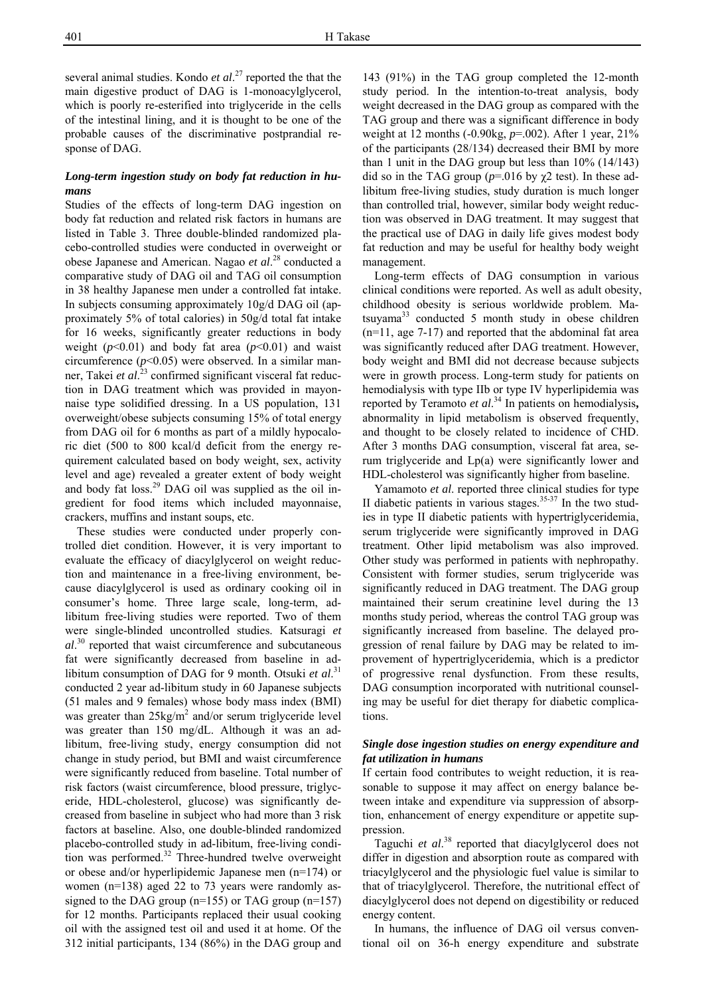several animal studies. Kondo *et al*. 27 reported the that the main digestive product of DAG is 1-monoacylglycerol, which is poorly re-esterified into triglyceride in the cells of the intestinal lining, and it is thought to be one of the probable causes of the discriminative postprandial response of DAG.

### *Long-term ingestion study on body fat reduction in humans*

Studies of the effects of long-term DAG ingestion on body fat reduction and related risk factors in humans are listed in Table 3. Three double-blinded randomized placebo-controlled studies were conducted in overweight or obese Japanese and American. Nagao *et al*. 28 conducted a comparative study of DAG oil and TAG oil consumption in 38 healthy Japanese men under a controlled fat intake. In subjects consuming approximately 10g/d DAG oil (approximately 5% of total calories) in 50g/d total fat intake for 16 weeks, significantly greater reductions in body weight  $(p<0.01)$  and body fat area  $(p<0.01)$  and waist circumference  $(p<0.05)$  were observed. In a similar manner, Takei *et al*. 23 confirmed significant visceral fat reduction in DAG treatment which was provided in mayonnaise type solidified dressing. In a US population, 131 overweight/obese subjects consuming 15% of total energy from DAG oil for 6 months as part of a mildly hypocaloric diet (500 to 800 kcal/d deficit from the energy requirement calculated based on body weight, sex, activity level and age) revealed a greater extent of body weight and body fat loss.<sup>29</sup> DAG oil was supplied as the oil ingredient for food items which included mayonnaise, crackers, muffins and instant soups, etc.

 These studies were conducted under properly controlled diet condition. However, it is very important to evaluate the efficacy of diacylglycerol on weight reduction and maintenance in a free-living environment, because diacylglycerol is used as ordinary cooking oil in consumer's home. Three large scale, long-term, adlibitum free-living studies were reported. Two of them were single-blinded uncontrolled studies. Katsuragi *et al*. 30 reported that waist circumference and subcutaneous fat were significantly decreased from baseline in adlibitum consumption of DAG for 9 month. Otsuki et al.<sup>31</sup> conducted 2 year ad-libitum study in 60 Japanese subjects (51 males and 9 females) whose body mass index (BMI) was greater than  $25\text{kg/m}^2$  and/or serum triglyceride level was greater than 150 mg/dL. Although it was an adlibitum, free-living study, energy consumption did not change in study period, but BMI and waist circumference were significantly reduced from baseline. Total number of risk factors (waist circumference, blood pressure, triglyceride, HDL-cholesterol, glucose) was significantly decreased from baseline in subject who had more than 3 risk factors at baseline. Also, one double-blinded randomized placebo-controlled study in ad-libitum, free-living condition was performed.<sup>32</sup> Three-hundred twelve overweight or obese and/or hyperlipidemic Japanese men (n=174) or women (n=138) aged 22 to 73 years were randomly assigned to the DAG group (n=155) or TAG group (n=157) for 12 months. Participants replaced their usual cooking oil with the assigned test oil and used it at home. Of the 312 initial participants, 134 (86%) in the DAG group and

143 (91%) in the TAG group completed the 12-month study period. In the intention-to-treat analysis, body weight decreased in the DAG group as compared with the TAG group and there was a significant difference in body weight at 12 months (-0.90kg, *p*=.002). After 1 year, 21% of the participants (28/134) decreased their BMI by more than 1 unit in the DAG group but less than 10% (14/143) did so in the TAG group ( $p=016$  by  $\gamma$ 2 test). In these adlibitum free-living studies, study duration is much longer than controlled trial, however, similar body weight reduction was observed in DAG treatment. It may suggest that the practical use of DAG in daily life gives modest body fat reduction and may be useful for healthy body weight management.

 Long-term effects of DAG consumption in various clinical conditions were reported. As well as adult obesity, childhood obesity is serious worldwide problem. Matsuyama $33$  conducted 5 month study in obese children (n=11, age 7-17) and reported that the abdominal fat area was significantly reduced after DAG treatment. However, body weight and BMI did not decrease because subjects were in growth process. Long-term study for patients on hemodialysis with type IIb or type IV hyperlipidemia was reported by Teramoto *et al*. 34 In patients on hemodialysis**,** abnormality in lipid metabolism is observed frequently, and thought to be closely related to incidence of CHD. After 3 months DAG consumption, visceral fat area, serum triglyceride and Lp(a) were significantly lower and HDL-cholesterol was significantly higher from baseline.

 Yamamoto *et al*. reported three clinical studies for type II diabetic patients in various stages.<sup>35-37</sup> In the two studies in type II diabetic patients with hypertriglyceridemia, serum triglyceride were significantly improved in DAG treatment. Other lipid metabolism was also improved. Other study was performed in patients with nephropathy. Consistent with former studies, serum triglyceride was significantly reduced in DAG treatment. The DAG group maintained their serum creatinine level during the 13 months study period, whereas the control TAG group was significantly increased from baseline. The delayed progression of renal failure by DAG may be related to improvement of hypertriglyceridemia, which is a predictor of progressive renal dysfunction. From these results, DAG consumption incorporated with nutritional counseling may be useful for diet therapy for diabetic complications.

## *Single dose ingestion studies on energy expenditure and fat utilization in humans*

If certain food contributes to weight reduction, it is reasonable to suppose it may affect on energy balance between intake and expenditure via suppression of absorption, enhancement of energy expenditure or appetite suppression.

 Taguchi *et al*. 38 reported that diacylglycerol does not differ in digestion and absorption route as compared with triacylglycerol and the physiologic fuel value is similar to that of triacylglycerol. Therefore, the nutritional effect of diacylglycerol does not depend on digestibility or reduced energy content.

 In humans, the influence of DAG oil versus conventional oil on 36-h energy expenditure and substrate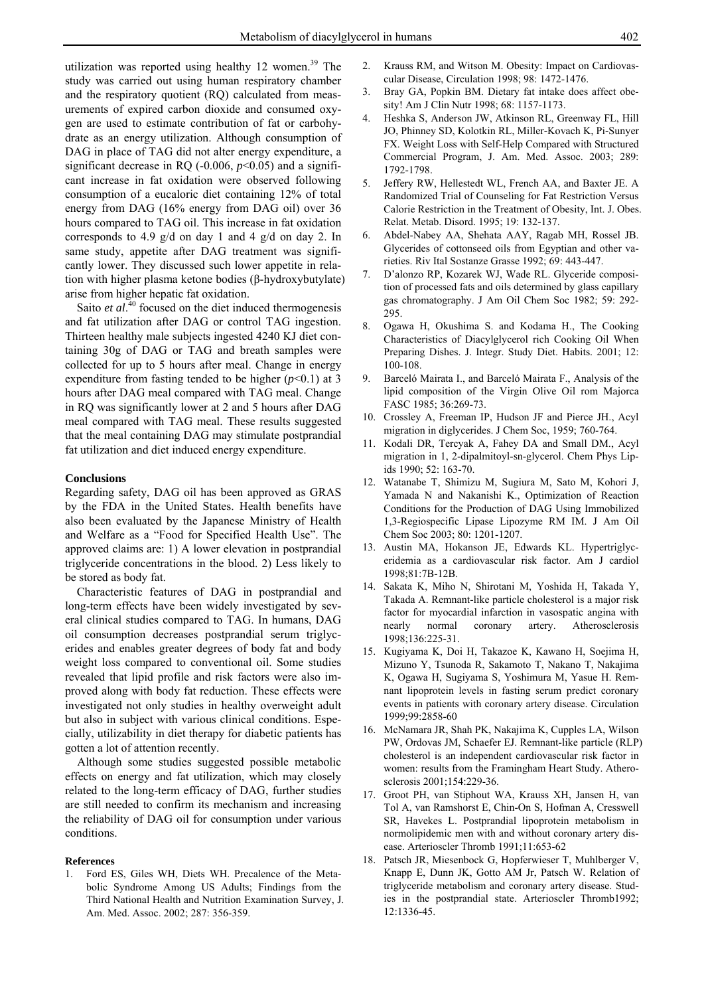utilization was reported using healthy 12 women.<sup>39</sup> The study was carried out using human respiratory chamber and the respiratory quotient (RQ) calculated from measurements of expired carbon dioxide and consumed oxygen are used to estimate contribution of fat or carbohydrate as an energy utilization. Although consumption of DAG in place of TAG did not alter energy expenditure, a significant decrease in RQ (-0.006, *p*<0.05) and a significant increase in fat oxidation were observed following consumption of a eucaloric diet containing 12% of total energy from DAG (16% energy from DAG oil) over 36 hours compared to TAG oil. This increase in fat oxidation corresponds to 4.9 g/d on day 1 and 4 g/d on day 2. In same study, appetite after DAG treatment was significantly lower. They discussed such lower appetite in relation with higher plasma ketone bodies (β-hydroxybutylate) arise from higher hepatic fat oxidation.

Saito *et al.*<sup>40</sup> focused on the diet induced thermogenesis and fat utilization after DAG or control TAG ingestion. Thirteen healthy male subjects ingested 4240 KJ diet containing 30g of DAG or TAG and breath samples were collected for up to 5 hours after meal. Change in energy expenditure from fasting tended to be higher  $(p<0.1)$  at 3 hours after DAG meal compared with TAG meal. Change in RQ was significantly lower at 2 and 5 hours after DAG meal compared with TAG meal. These results suggested that the meal containing DAG may stimulate postprandial fat utilization and diet induced energy expenditure.

#### **Conclusions**

Regarding safety, DAG oil has been approved as GRAS by the FDA in the United States. Health benefits have also been evaluated by the Japanese Ministry of Health and Welfare as a "Food for Specified Health Use". The approved claims are: 1) A lower elevation in postprandial triglyceride concentrations in the blood. 2) Less likely to be stored as body fat.

 Characteristic features of DAG in postprandial and long-term effects have been widely investigated by several clinical studies compared to TAG. In humans, DAG oil consumption decreases postprandial serum triglycerides and enables greater degrees of body fat and body weight loss compared to conventional oil. Some studies revealed that lipid profile and risk factors were also improved along with body fat reduction. These effects were investigated not only studies in healthy overweight adult but also in subject with various clinical conditions. Especially, utilizability in diet therapy for diabetic patients has gotten a lot of attention recently.

 Although some studies suggested possible metabolic effects on energy and fat utilization, which may closely related to the long-term efficacy of DAG, further studies are still needed to confirm its mechanism and increasing the reliability of DAG oil for consumption under various conditions.

#### **References**

1. Ford ES, Giles WH, Diets WH. Precalence of the Metabolic Syndrome Among US Adults; Findings from the Third National Health and Nutrition Examination Survey, J. Am. Med. Assoc. 2002; 287: 356-359.

- 2. Krauss RM, and Witson M. Obesity: Impact on Cardiovascular Disease, Circulation 1998; 98: 1472-1476.
- 3. Bray GA, Popkin BM. Dietary fat intake does affect obesity! Am J Clin Nutr 1998; 68: 1157-1173.
- 4. Heshka S, Anderson JW, Atkinson RL, Greenway FL, Hill JO, Phinney SD, Kolotkin RL, Miller-Kovach K, Pi-Sunyer FX. Weight Loss with Self-Help Compared with Structured Commercial Program, J. Am. Med. Assoc. 2003; 289: 1792-1798.
- 5. Jeffery RW, Hellestedt WL, French AA, and Baxter JE. A Randomized Trial of Counseling for Fat Restriction Versus Calorie Restriction in the Treatment of Obesity, Int. J. Obes. Relat. Metab. Disord. 1995; 19: 132-137.
- 6. Abdel-Nabey AA, Shehata AAY, Ragab MH, Rossel JB. Glycerides of cottonseed oils from Egyptian and other varieties. Riv Ital Sostanze Grasse 1992; 69: 443-447.
- 7. D'alonzo RP, Kozarek WJ, Wade RL. Glyceride composition of processed fats and oils determined by glass capillary gas chromatography. J Am Oil Chem Soc 1982; 59: 292- 295.
- 8. Ogawa H, Okushima S. and Kodama H., The Cooking Characteristics of Diacylglycerol rich Cooking Oil When Preparing Dishes. J. Integr. Study Diet. Habits. 2001; 12: 100-108.
- 9. Barceló Mairata I., and Barceló Mairata F., Analysis of the lipid composition of the Virgin Olive Oil rom Majorca FASC 1985; 36:269-73.
- 10. Crossley A, Freeman IP, Hudson JF and Pierce JH., Acyl migration in diglycerides. J Chem Soc, 1959; 760-764.
- 11. Kodali DR, Tercyak A, Fahey DA and Small DM., Acyl migration in 1, 2-dipalmitoyl-sn-glycerol. Chem Phys Lipids 1990; 52: 163-70.
- 12. Watanabe T, Shimizu M, Sugiura M, Sato M, Kohori J, Yamada N and Nakanishi K., Optimization of Reaction Conditions for the Production of DAG Using Immobilized 1,3-Regiospecific Lipase Lipozyme RM IM. J Am Oil Chem Soc 2003; 80: 1201-1207.
- 13. Austin MA, Hokanson JE, Edwards KL. Hypertriglyceridemia as a cardiovascular risk factor. Am J cardiol 1998;81:7B-12B.
- 14. Sakata K, Miho N, Shirotani M, Yoshida H, Takada Y, Takada A. Remnant-like particle cholesterol is a major risk factor for myocardial infarction in vasospatic angina with nearly normal coronary artery. Atherosclerosis 1998;136:225-31.
- 15. Kugiyama K, Doi H, Takazoe K, Kawano H, Soejima H, Mizuno Y, Tsunoda R, Sakamoto T, Nakano T, Nakajima K, Ogawa H, Sugiyama S, Yoshimura M, Yasue H. Remnant lipoprotein levels in fasting serum predict coronary events in patients with coronary artery disease. Circulation 1999;99:2858-60
- 16. McNamara JR, Shah PK, Nakajima K, Cupples LA, Wilson PW, Ordovas JM, Schaefer EJ. Remnant-like particle (RLP) cholesterol is an independent cardiovascular risk factor in women: results from the Framingham Heart Study. Atherosclerosis 2001;154:229-36.
- 17. Groot PH, van Stiphout WA, Krauss XH, Jansen H, van Tol A, van Ramshorst E, Chin-On S, Hofman A, Cresswell SR, Havekes L. Postprandial lipoprotein metabolism in normolipidemic men with and without coronary artery disease. Arterioscler Thromb 1991;11:653-62
- 18. Patsch JR, Miesenbock G, Hopferwieser T, Muhlberger V, Knapp E, Dunn JK, Gotto AM Jr, Patsch W. Relation of triglyceride metabolism and coronary artery disease. Studies in the postprandial state. Arterioscler Thromb1992; 12:1336-45.